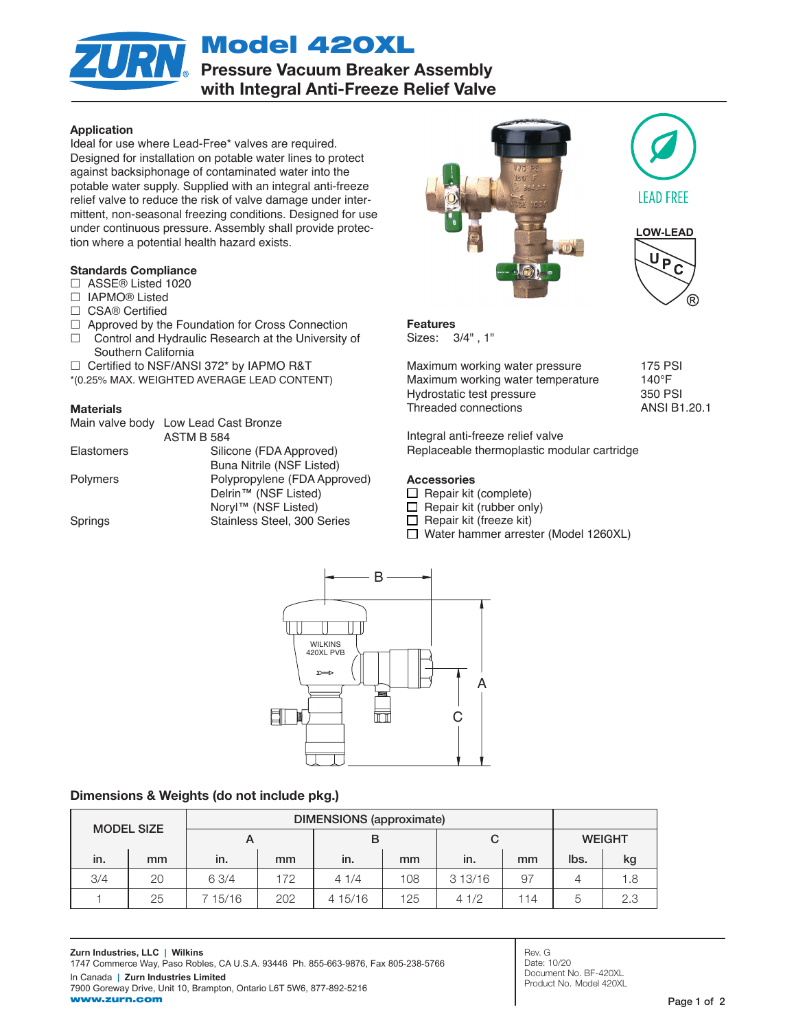Model 420XL

**Pressure Vacuum Breaker Assembly**<br>Pressure Vacuum Breaker Assembly with Integral Anti-Freeze Relief Valve

## Application

Ideal for use where Lead-Free\* valves are required. Designed for installation on potable water lines to protect against backsiphonage of contaminated water into the potable water supply. Supplied with an integral anti-freeze relief valve to reduce the risk of valve damage under intermittent, non-seasonal freezing conditions. Designed for use under continuous pressure. Assembly shall provide protection where a potential health hazard exists.

## Standards Compliance

- □ ASSE® Listed 1020
- □ IAPMO<sup>®</sup> Listed
- □ CSA® Certified
- $\Box$  Approved by the Foundation for Cross Connection
- $\Box$  Control and Hydraulic Research at the University of Southern California
- $\Box$  Certified to NSF/ANSI 372\* by IAPMO R&T
- \*(0.25% MAX. WEIGHTED AVERAGE LEAD CONTENT)

## **Materials**

|                 | Main valve body Low Lead Cast Bronze |  |  |  |  |  |
|-----------------|--------------------------------------|--|--|--|--|--|
|                 | <b>ASTM B 584</b>                    |  |  |  |  |  |
| Elastomers      | Silicone (FDA Approved)              |  |  |  |  |  |
|                 | Buna Nitrile (NSF Listed)            |  |  |  |  |  |
| <b>Polymers</b> | Polypropylene (FDA Approved)         |  |  |  |  |  |
|                 | Delrin <sup>™</sup> (NSF Listed)     |  |  |  |  |  |
|                 | Noryl™ (NSF Listed)                  |  |  |  |  |  |
| Springs         | Stainless Steel, 300 Series          |  |  |  |  |  |
|                 |                                      |  |  |  |  |  |







Features Sizes: 3/4" , 1"

Maximum working water pressure 175 PSI Maximum working water temperature 140°F Hydrostatic test pressure 350 PSI Threaded connections **ANSI B1.20.1** 

Integral anti-freeze relief valve Replaceable thermoplastic modular cartridge

## Accessories

- $\Box$  Repair kit (complete)
- $\Box$  Repair kit (rubber only)
- $\Box$  Repair kit (freeze kit)
- □ Water hammer arrester (Model 1260XL)



# Dimensions & Weights (do not include pkg.)

| <b>MODEL SIZE</b> |    | <b>DIMENSIONS</b> (approximate) |     |         |     |        |     |               |      |
|-------------------|----|---------------------------------|-----|---------|-----|--------|-----|---------------|------|
|                   |    |                                 |     | в       |     | C      |     | <b>WEIGHT</b> |      |
| in.               | mm | in.                             | mm  | in.     | mm  | in.    | mm  | lbs.          | kg   |
| 3/4               | 20 | 6 3/4                           | 172 | 41/4    | 108 | 313/16 | 97  |               | . .8 |
|                   | 25 | 7 15/16                         | 202 | 4 15/16 | 125 | 41/2   | 114 | b             | 2.3  |